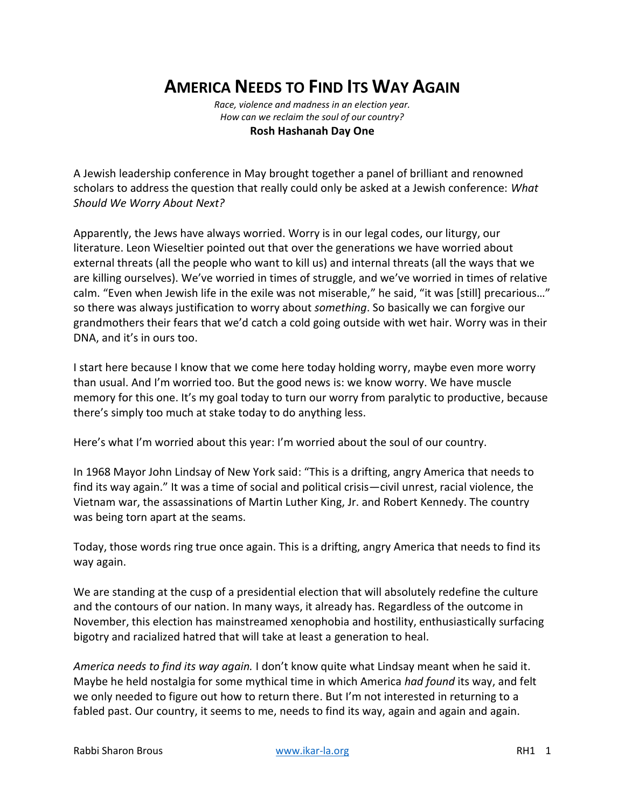# **AMERICA NEEDS TO FIND ITS WAY AGAIN**

*Race, violence and madness in an election year. How can we reclaim the soul of our country?* **Rosh Hashanah Day One**

A Jewish leadership conference in May brought together a panel of brilliant and renowned scholars to address the question that really could only be asked at a Jewish conference: *What Should We Worry About Next?*

Apparently, the Jews have always worried. Worry is in our legal codes, our liturgy, our literature. Leon Wieseltier pointed out that over the generations we have worried about external threats (all the people who want to kill us) and internal threats (all the ways that we are killing ourselves). We've worried in times of struggle, and we've worried in times of relative calm. "Even when Jewish life in the exile was not miserable," he said, "it was [still] precarious…" so there was always justification to worry about *something*. So basically we can forgive our grandmothers their fears that we'd catch a cold going outside with wet hair. Worry was in their DNA, and it's in ours too.

I start here because I know that we come here today holding worry, maybe even more worry than usual. And I'm worried too. But the good news is: we know worry. We have muscle memory for this one. It's my goal today to turn our worry from paralytic to productive, because there's simply too much at stake today to do anything less.

Here's what I'm worried about this year: I'm worried about the soul of our country.

In 1968 Mayor John Lindsay of New York said: "This is a drifting, angry America that needs to find its way again." It was a time of social and political crisis—civil unrest, racial violence, the Vietnam war, the assassinations of Martin Luther King, Jr. and Robert Kennedy. The country was being torn apart at the seams.

Today, those words ring true once again. This is a drifting, angry America that needs to find its way again.

We are standing at the cusp of a presidential election that will absolutely redefine the culture and the contours of our nation. In many ways, it already has. Regardless of the outcome in November, this election has mainstreamed xenophobia and hostility, enthusiastically surfacing bigotry and racialized hatred that will take at least a generation to heal.

*America needs to find its way again.* I don't know quite what Lindsay meant when he said it. Maybe he held nostalgia for some mythical time in which America *had found* its way, and felt we only needed to figure out how to return there. But I'm not interested in returning to a fabled past. Our country, it seems to me, needs to find its way, again and again and again.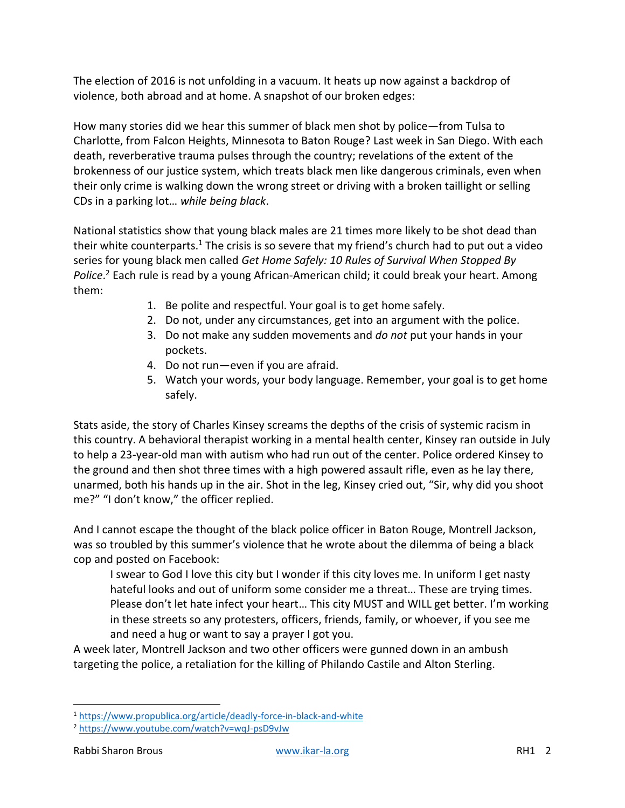The election of 2016 is not unfolding in a vacuum. It heats up now against a backdrop of violence, both abroad and at home. A snapshot of our broken edges:

How many stories did we hear this summer of black men shot by police—from Tulsa to Charlotte, from Falcon Heights, Minnesota to Baton Rouge? Last week in San Diego. With each death, reverberative trauma pulses through the country; revelations of the extent of the brokenness of our justice system, which treats black men like dangerous criminals, even when their only crime is walking down the wrong street or driving with a broken taillight or selling CDs in a parking lot… *while being black*.

National statistics show that young black males are 21 times more likely to be shot dead than their white counterparts.<sup>1</sup> The crisis is so severe that my friend's church had to put out a video series for young black men called *Get Home Safely: 10 Rules of Survival When Stopped By Police*. <sup>2</sup> Each rule is read by a young African-American child; it could break your heart. Among them:

- 1. Be polite and respectful. Your goal is to get home safely.
- 2. Do not, under any circumstances, get into an argument with the police.
- 3. Do not make any sudden movements and *do not* put your hands in your pockets.
- 4. Do not run—even if you are afraid.
- 5. Watch your words, your body language. Remember, your goal is to get home safely.

Stats aside, the story of Charles Kinsey screams the depths of the crisis of systemic racism in this country. A behavioral therapist working in a mental health center, Kinsey ran outside in July to help a 23-year-old man with autism who had run out of the center. Police ordered Kinsey to the ground and then shot three times with a high powered assault rifle, even as he lay there, unarmed, both his hands up in the air. Shot in the leg, Kinsey cried out, "Sir, why did you shoot me?" "I don't know," the officer replied.

And I cannot escape the thought of the black police officer in Baton Rouge, Montrell Jackson, was so troubled by this summer's violence that he wrote about the dilemma of being a black cop and posted on Facebook:

I swear to God I love this city but I wonder if this city loves me. In uniform I get nasty hateful looks and out of uniform some consider me a threat… These are trying times. Please don't let hate infect your heart… This city MUST and WILL get better. I'm working in these streets so any protesters, officers, friends, family, or whoever, if you see me and need a hug or want to say a prayer I got you.

A week later, Montrell Jackson and two other officers were gunned down in an ambush targeting the police, a retaliation for the killing of Philando Castile and Alton Sterling.

l <sup>1</sup> <https://www.propublica.org/article/deadly-force-in-black-and-white>

<sup>2</sup> <https://www.youtube.com/watch?v=wqJ-psD9vJw>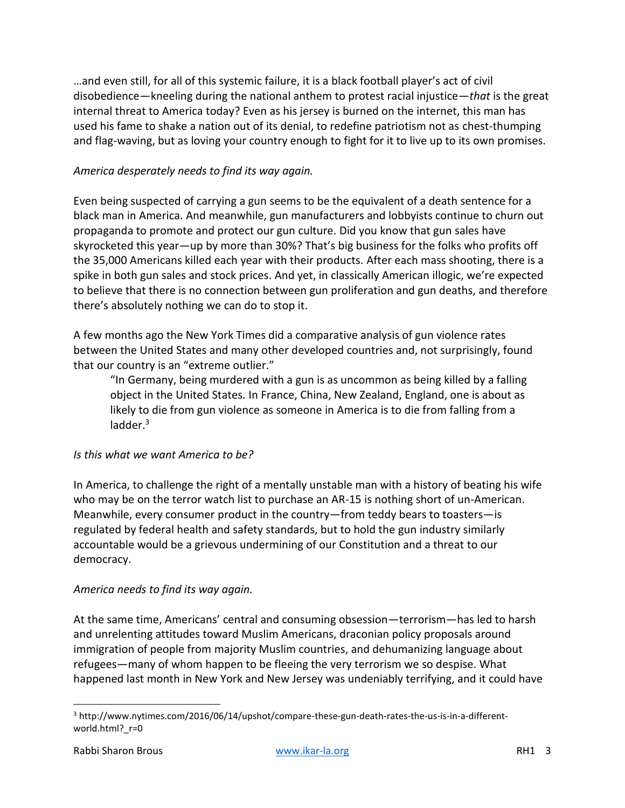…and even still, for all of this systemic failure, it is a black football player's act of civil disobedience—kneeling during the national anthem to protest racial injustice—*that* is the great internal threat to America today? Even as his jersey is burned on the internet, this man has used his fame to shake a nation out of its denial, to redefine patriotism not as chest-thumping and flag-waving, but as loving your country enough to fight for it to live up to its own promises.

### *America desperately needs to find its way again.*

Even being suspected of carrying a gun seems to be the equivalent of a death sentence for a black man in America. And meanwhile, gun manufacturers and lobbyists continue to churn out propaganda to promote and protect our gun culture. Did you know that gun sales have skyrocketed this year—up by more than 30%? That's big business for the folks who profits off the 35,000 Americans killed each year with their products. After each mass shooting, there is a spike in both gun sales and stock prices. And yet, in classically American illogic, we're expected to believe that there is no connection between gun proliferation and gun deaths, and therefore there's absolutely nothing we can do to stop it.

A few months ago the New York Times did a comparative analysis of gun violence rates between the United States and many other developed countries and, not surprisingly, found that our country is an "extreme outlier."

"In Germany, being murdered with a gun is as uncommon as being killed by a falling object in the United States. In France, China, New Zealand, England, one is about as likely to die from gun violence as someone in America is to die from falling from a ladder. $3$ 

#### *Is this what we want America to be?*

In America, to challenge the right of a mentally unstable man with a history of beating his wife who may be on the terror watch list to purchase an AR-15 is nothing short of un-American. Meanwhile, every consumer product in the country—from teddy bears to toasters—is regulated by federal health and safety standards, but to hold the gun industry similarly accountable would be a grievous undermining of our Constitution and a threat to our democracy.

#### *America needs to find its way again.*

At the same time, Americans' central and consuming obsession—terrorism—has led to harsh and unrelenting attitudes toward Muslim Americans, draconian policy proposals around immigration of people from majority Muslim countries, and dehumanizing language about refugees—many of whom happen to be fleeing the very terrorism we so despise. What happened last month in New York and New Jersey was undeniably terrifying, and it could have

l

<sup>3</sup> http://www.nytimes.com/2016/06/14/upshot/compare-these-gun-death-rates-the-us-is-in-a-differentworld.html? r=0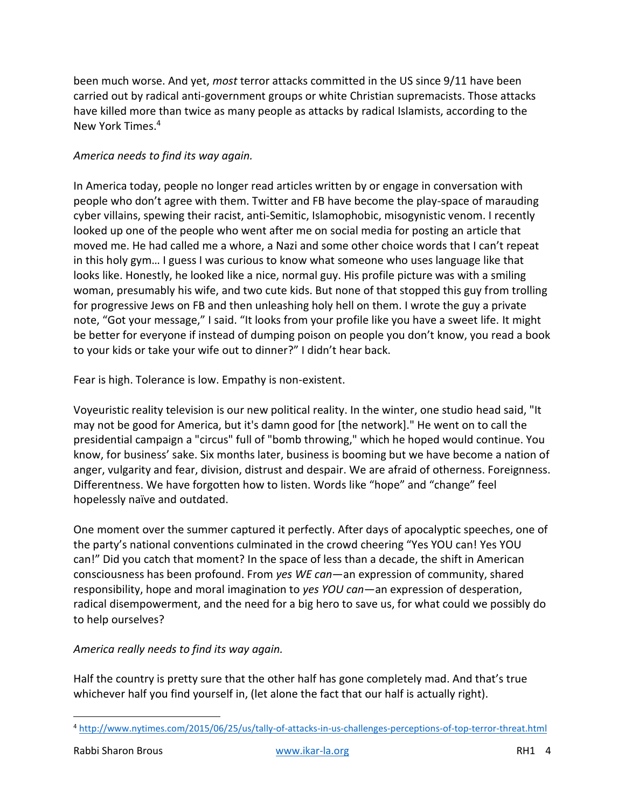been much worse. And yet, *most* terror attacks committed in the US since 9/11 have been carried out by radical anti-government groups or white Christian supremacists. Those attacks have killed more than twice as many people as attacks by radical Islamists, according to the New York Times. 4

### *America needs to find its way again.*

In America today, people no longer read articles written by or engage in conversation with people who don't agree with them. Twitter and FB have become the play-space of marauding cyber villains, spewing their racist, anti-Semitic, Islamophobic, misogynistic venom. I recently looked up one of the people who went after me on social media for posting an article that moved me. He had called me a whore, a Nazi and some other choice words that I can't repeat in this holy gym… I guess I was curious to know what someone who uses language like that looks like. Honestly, he looked like a nice, normal guy. His profile picture was with a smiling woman, presumably his wife, and two cute kids. But none of that stopped this guy from trolling for progressive Jews on FB and then unleashing holy hell on them. I wrote the guy a private note, "Got your message," I said. "It looks from your profile like you have a sweet life. It might be better for everyone if instead of dumping poison on people you don't know, you read a book to your kids or take your wife out to dinner?" I didn't hear back.

Fear is high. Tolerance is low. Empathy is non-existent.

Voyeuristic reality television is our new political reality. In the winter, one studio head said, "It may not be good for America, but it's damn good for [the network]." He went on to call the presidential campaign a "circus" full of "bomb throwing," which he hoped would continue. You know, for business' sake. Six months later, business is booming but we have become a nation of anger, vulgarity and fear, division, distrust and despair. We are afraid of otherness. Foreignness. Differentness. We have forgotten how to listen. Words like "hope" and "change" feel hopelessly naïve and outdated.

One moment over the summer captured it perfectly. After days of apocalyptic speeches, one of the party's national conventions culminated in the crowd cheering "Yes YOU can! Yes YOU can!" Did you catch that moment? In the space of less than a decade, the shift in American consciousness has been profound. From *yes WE can*—an expression of community, shared responsibility, hope and moral imagination to *yes YOU can*—an expression of desperation, radical disempowerment, and the need for a big hero to save us, for what could we possibly do to help ourselves?

## *America really needs to find its way again.*

Half the country is pretty sure that the other half has gone completely mad. And that's true whichever half you find yourself in, (let alone the fact that our half is actually right).

 $\overline{\phantom{a}}$ <sup>4</sup> <http://www.nytimes.com/2015/06/25/us/tally-of-attacks-in-us-challenges-perceptions-of-top-terror-threat.html>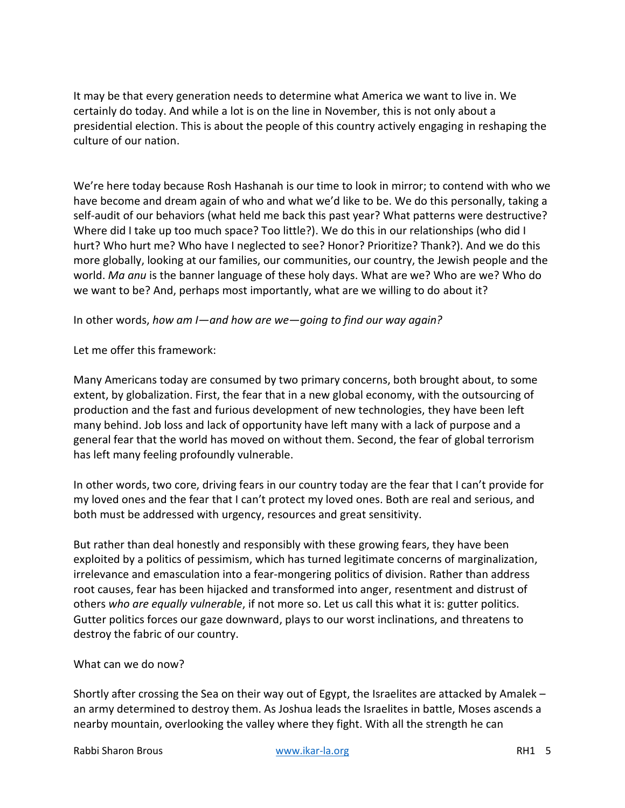It may be that every generation needs to determine what America we want to live in. We certainly do today. And while a lot is on the line in November, this is not only about a presidential election. This is about the people of this country actively engaging in reshaping the culture of our nation.

We're here today because Rosh Hashanah is our time to look in mirror; to contend with who we have become and dream again of who and what we'd like to be. We do this personally, taking a self-audit of our behaviors (what held me back this past year? What patterns were destructive? Where did I take up too much space? Too little?). We do this in our relationships (who did I hurt? Who hurt me? Who have I neglected to see? Honor? Prioritize? Thank?). And we do this more globally, looking at our families, our communities, our country, the Jewish people and the world. *Ma anu* is the banner language of these holy days. What are we? Who are we? Who do we want to be? And, perhaps most importantly, what are we willing to do about it?

#### In other words, *how am I—and how are we—going to find our way again?*

Let me offer this framework:

Many Americans today are consumed by two primary concerns, both brought about, to some extent, by globalization. First, the fear that in a new global economy, with the outsourcing of production and the fast and furious development of new technologies, they have been left many behind. Job loss and lack of opportunity have left many with a lack of purpose and a general fear that the world has moved on without them. Second, the fear of global terrorism has left many feeling profoundly vulnerable.

In other words, two core, driving fears in our country today are the fear that I can't provide for my loved ones and the fear that I can't protect my loved ones. Both are real and serious, and both must be addressed with urgency, resources and great sensitivity.

But rather than deal honestly and responsibly with these growing fears, they have been exploited by a politics of pessimism, which has turned legitimate concerns of marginalization, irrelevance and emasculation into a fear-mongering politics of division. Rather than address root causes, fear has been hijacked and transformed into anger, resentment and distrust of others *who are equally vulnerable*, if not more so. Let us call this what it is: gutter politics. Gutter politics forces our gaze downward, plays to our worst inclinations, and threatens to destroy the fabric of our country.

#### What can we do now?

Shortly after crossing the Sea on their way out of Egypt, the Israelites are attacked by Amalek – an army determined to destroy them. As Joshua leads the Israelites in battle, Moses ascends a nearby mountain, overlooking the valley where they fight. With all the strength he can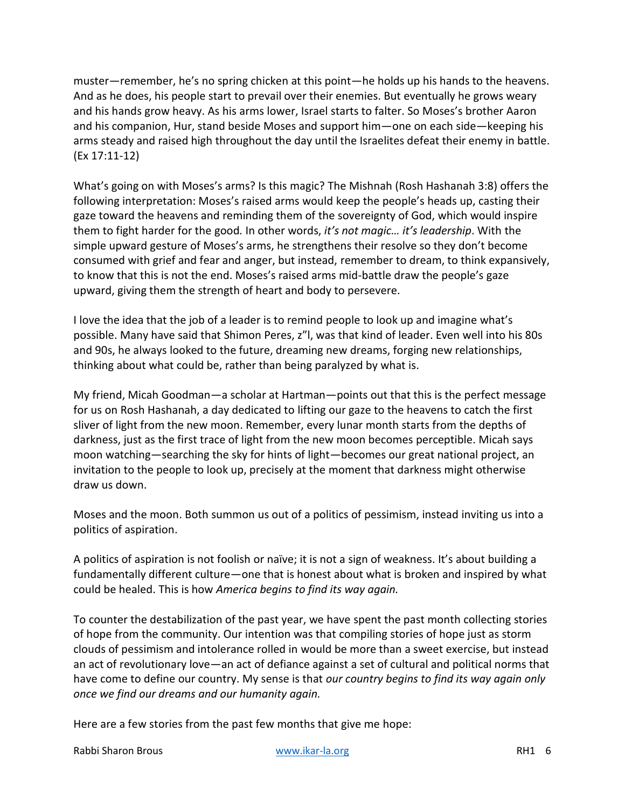muster—remember, he's no spring chicken at this point—he holds up his hands to the heavens. And as he does, his people start to prevail over their enemies. But eventually he grows weary and his hands grow heavy. As his arms lower, Israel starts to falter. So Moses's brother Aaron and his companion, Hur, stand beside Moses and support him—one on each side—keeping his arms steady and raised high throughout the day until the Israelites defeat their enemy in battle. (Ex 17:11-12)

What's going on with Moses's arms? Is this magic? The Mishnah (Rosh Hashanah 3:8) offers the following interpretation: Moses's raised arms would keep the people's heads up, casting their gaze toward the heavens and reminding them of the sovereignty of God, which would inspire them to fight harder for the good*.* In other words, *it's not magic… it's leadership*. With the simple upward gesture of Moses's arms, he strengthens their resolve so they don't become consumed with grief and fear and anger, but instead, remember to dream, to think expansively, to know that this is not the end. Moses's raised arms mid-battle draw the people's gaze upward, giving them the strength of heart and body to persevere.

I love the idea that the job of a leader is to remind people to look up and imagine what's possible. Many have said that Shimon Peres, z"l, was that kind of leader. Even well into his 80s and 90s, he always looked to the future, dreaming new dreams, forging new relationships, thinking about what could be, rather than being paralyzed by what is.

My friend, Micah Goodman—a scholar at Hartman—points out that this is the perfect message for us on Rosh Hashanah, a day dedicated to lifting our gaze to the heavens to catch the first sliver of light from the new moon. Remember, every lunar month starts from the depths of darkness, just as the first trace of light from the new moon becomes perceptible. Micah says moon watching—searching the sky for hints of light—becomes our great national project, an invitation to the people to look up, precisely at the moment that darkness might otherwise draw us down.

Moses and the moon. Both summon us out of a politics of pessimism, instead inviting us into a politics of aspiration.

A politics of aspiration is not foolish or naïve; it is not a sign of weakness. It's about building a fundamentally different culture—one that is honest about what is broken and inspired by what could be healed. This is how *America begins to find its way again.*

To counter the destabilization of the past year, we have spent the past month collecting stories of hope from the community. Our intention was that compiling stories of hope just as storm clouds of pessimism and intolerance rolled in would be more than a sweet exercise, but instead an act of revolutionary love—an act of defiance against a set of cultural and political norms that have come to define our country. My sense is that *our country begins to find its way again only once we find our dreams and our humanity again.* 

Here are a few stories from the past few months that give me hope:

Rabbi Sharon Brous National Research Www.ikar-la.org National Research RH1 6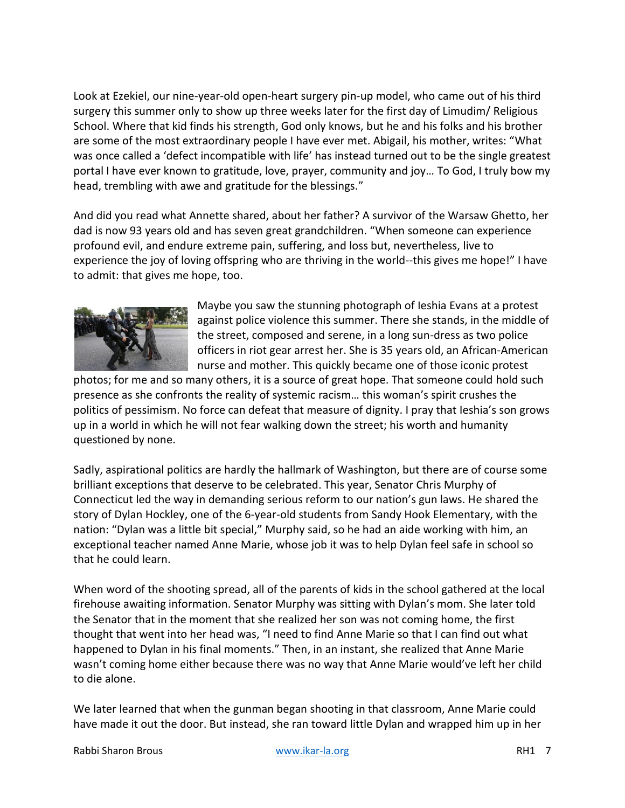Look at Ezekiel, our nine-year-old open-heart surgery pin-up model, who came out of his third surgery this summer only to show up three weeks later for the first day of Limudim/ Religious School. Where that kid finds his strength, God only knows, but he and his folks and his brother are some of the most extraordinary people I have ever met. Abigail, his mother, writes: "What was once called a 'defect incompatible with life' has instead turned out to be the single greatest portal I have ever known to gratitude, love, prayer, community and joy… To God, I truly bow my head, trembling with awe and gratitude for the blessings."

And did you read what Annette shared, about her father? A survivor of the Warsaw Ghetto, her dad is now 93 years old and has seven great grandchildren. "When someone can experience profound evil, and endure extreme pain, suffering, and loss but, nevertheless, live to experience the joy of loving offspring who are thriving in the world--this gives me hope!" I have to admit: that gives me hope, too.



Maybe you saw the stunning photograph of Ieshia Evans at a protest against police violence this summer. There she stands, in the middle of the street, composed and serene, in a long sun-dress as two police officers in riot gear arrest her. She is 35 years old, an African-American nurse and mother. This quickly became one of those iconic protest

photos; for me and so many others, it is a source of great hope. That someone could hold such presence as she confronts the reality of systemic racism… this woman's spirit crushes the politics of pessimism. No force can defeat that measure of dignity. I pray that Ieshia's son grows up in a world in which he will not fear walking down the street; his worth and humanity questioned by none.

Sadly, aspirational politics are hardly the hallmark of Washington, but there are of course some brilliant exceptions that deserve to be celebrated. This year, Senator Chris Murphy of Connecticut led the way in demanding serious reform to our nation's gun laws. He shared the story of Dylan Hockley, one of the 6-year-old students from Sandy Hook Elementary, with the nation: "Dylan was a little bit special," Murphy said, so he had an aide working with him, an exceptional teacher named Anne Marie, whose job it was to help Dylan feel safe in school so that he could learn.

When word of the shooting spread, all of the parents of kids in the school gathered at the local firehouse awaiting information. Senator Murphy was sitting with Dylan's mom. She later told the Senator that in the moment that she realized her son was not coming home, the first thought that went into her head was, "I need to find Anne Marie so that I can find out what happened to Dylan in his final moments." Then, in an instant, she realized that Anne Marie wasn't coming home either because there was no way that Anne Marie would've left her child to die alone.

We later learned that when the gunman began shooting in that classroom, Anne Marie could have made it out the door. But instead, she ran toward little Dylan and wrapped him up in her